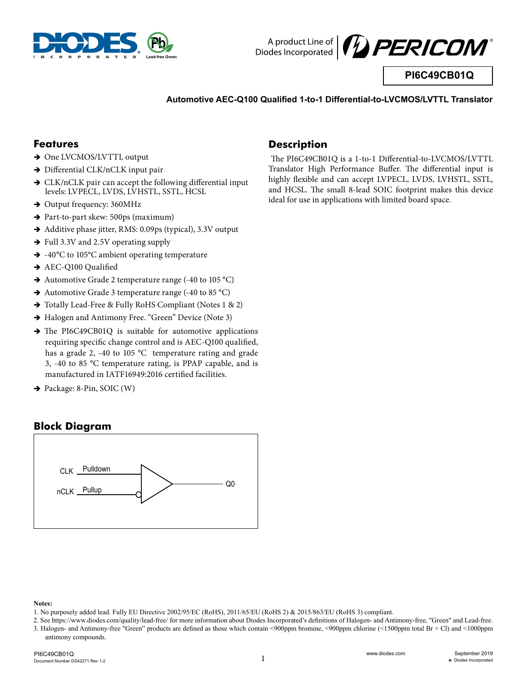



**PI6C49CB01Q**

#### **Automotive AEC-Q100 Qualified 1-to-1 Differential-to-LVCMOS/LVTTL Translator**

### **Features**

- $\rightarrow$  One LVCMOS/LVTTL output
- → Differential CLK/nCLK input pair
- $\rightarrow$  CLK/nCLK pair can accept the following differential input levels: LVPECL, LVDS, LVHSTL, SSTL, HCSL
- $\rightarrow$  Output frequency: 360MHz
- → Part-to-part skew: 500ps (maximum)
- $\rightarrow$  Additive phase jitter, RMS: 0.09ps (typical), 3.3V output
- → Full 3.3V and 2.5V operating supply
- $\rightarrow$  -40°C to 105°C ambient operating temperature
- $\rightarrow$  AEC-Q100 Qualified
- $\rightarrow$  Automotive Grade 2 temperature range (-40 to 105 °C)
- $\rightarrow$  Automotive Grade 3 temperature range (-40 to 85 °C)
- → Totally Lead-Free & Fully RoHS Compliant (Notes 1 & 2)
- $\rightarrow$  Halogen and Antimony Free. "Green" Device (Note 3)
- $\rightarrow$  The PI6C49CB01Q is suitable for automotive applications requiring specific change control and is AEC-Q100 qualified, has a grade 2, -40 to 105 °C temperature rating and grade 3, -40 to 85 °C temperature rating, is PPAP capable, and is manufactured in IATF16949:2016 certified facilities.
- $\rightarrow$  Package: 8-Pin, SOIC (W)

### **Block Diagram**



#### **Notes:**

2. See https://www.diodes.com/quality/lead-free/ for more information about Diodes Incorporated's definitions of Halogen- and Antimony-free, "Green" and Lead-free. 3. Halogen- and Antimony-free "Green" products are defined as those which contain <900ppm bromine, <900ppm chlorine (<1500ppm total Br + Cl) and <1000ppm antimony compounds.

#### PI6C49CB01Q Document Number DS42271 Rev 1-2

### **Description**

 The PI6C49CB01Q is a 1-to-1 Differential-to-LVCMOS/LVTTL Translator High Performance Buffer. The differential input is highly flexible and can accept LVPECL, LVDS, LVHSTL, SSTL, and HCSL. The small 8-lead SOIC footprint makes this device ideal for use in applications with limited board space.

<sup>1.</sup> No purposely added lead. Fully EU Directive 2002/95/EC (RoHS), 2011/65/EU (RoHS 2) & 2015/863/EU (RoHS 3) compliant.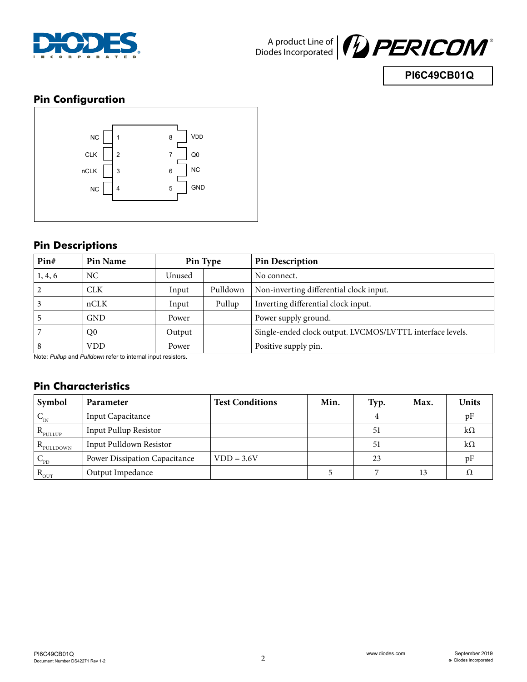



## **PI6C49CB01Q**

## **Pin Configuration**



## **Pin Descriptions**

| Pin#    | Pin Name       |        | Pin Type | <b>Pin Description</b>                                    |
|---------|----------------|--------|----------|-----------------------------------------------------------|
| 1, 4, 6 | NC.            | Unused |          | No connect.                                               |
| 2       | <b>CLK</b>     | Input  | Pulldown | Non-inverting differential clock input.                   |
|         | nCLK           | Input  | Pullup   | Inverting differential clock input.                       |
|         | <b>GND</b>     | Power  |          | Power supply ground.                                      |
|         | Q <sub>0</sub> | Output |          | Single-ended clock output. LVCMOS/LVTTL interface levels. |
| 8       | <b>VDD</b>     | Power  |          | Positive supply pin.                                      |

Note: *Pullup* and *Pulldown* refer to internal input resistors.

## **Pin Characteristics**

| Symbol               | Parameter                            | <b>Test Conditions</b> | Min. | Typ. | Max. | <b>Units</b> |
|----------------------|--------------------------------------|------------------------|------|------|------|--------------|
| $V_{IN}$             | Input Capacitance                    |                        |      | 4    |      | pF           |
| $R_{\text{pULUP}}$   | Input Pullup Resistor                |                        |      | 51   |      | $k\Omega$    |
| $R_{\text{pULDOWN}}$ | Input Pulldown Resistor              |                        |      | 51   |      | $k\Omega$    |
| $V_{\text{PD}}$      | <b>Power Dissipation Capacitance</b> | $VDD = 3.6V$           |      | 23   |      | υF           |
| $R_{\text{OUT}}$     | Output Impedance                     |                        |      |      | 13   |              |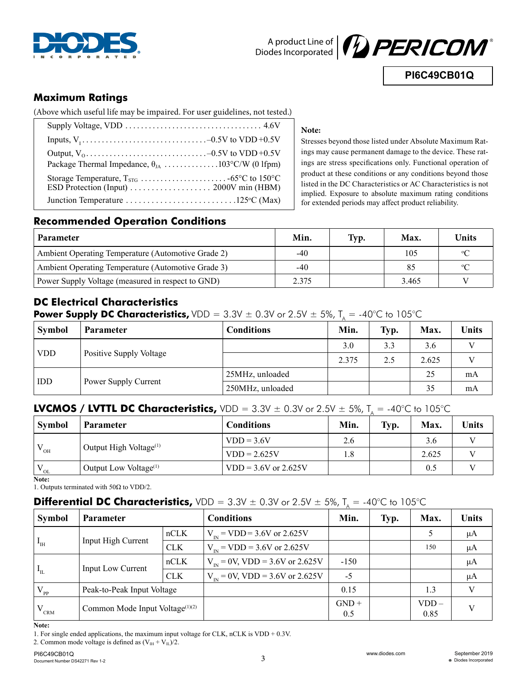



**PI6C49CB01Q**

## **Maximum Ratings**

(Above which useful life may be impaired. For user guidelines, not tested.)

#### **Note:**

Stresses beyond those listed under Absolute Maximum Ratings may cause permanent damage to the device. These ratings are stress specifications only. Functional operation of product at these conditions or any conditions beyond those listed in the DC Characteristics or AC Characteristics is not implied. Exposure to absolute maximum rating conditions for extended periods may affect product reliability.

### **Recommended Operation Conditions**

| <b>Parameter</b>                                   | Min.  | Typ. | Max.  | <b>Units</b>               |
|----------------------------------------------------|-------|------|-------|----------------------------|
| Ambient Operating Temperature (Automotive Grade 2) | -40   |      | 105   | $\circ$                    |
| Ambient Operating Temperature (Automotive Grade 3) | $-40$ |      | 85    | $\mathcal{O}(\mathcal{C})$ |
| Power Supply Voltage (measured in respect to GND)  | 2.375 |      | 3.465 |                            |

## **DC Electrical Characteristics**

**Power Supply DC Characteristics,** VDD =  $3.3V \pm 0.3V$  or  $2.5V \pm 5\%$ ,  $T_A = -40^{\circ}C$  to 105°C

| <b>Symbol</b> | <b>Parameter</b>        | <b>Conditions</b> | Min.  | Typ. | Max.  | <b>Units</b> |
|---------------|-------------------------|-------------------|-------|------|-------|--------------|
| <b>VDD</b>    | Positive Supply Voltage |                   | 3.0   | 3.3  | 3.6   | T 7          |
|               |                         |                   | 2.375 | 2.5  | 2.625 |              |
| <b>IDD</b>    | Power Supply Current    | 25MHz, unloaded   |       |      | 25    | mA           |
|               |                         | 250MHz, unloaded  |       |      | 35    | mA           |

# **LVCMOS / LVTTL DC Characteristics,**  $VDD = 3.3V \pm 0.3V$  or  $2.5V \pm 5\%$ ,  $T_A = -40^{\circ}C$  to 105°C

| <b>Symbol</b> | <b>Parameter</b>                   | <b>Conditions</b>      | Min. | Typ. | Max.  | Units |
|---------------|------------------------------------|------------------------|------|------|-------|-------|
| OH            | Output High Voltage <sup>(1)</sup> | $VDD = 3.6V$           | 2.6  |      | 3.6   |       |
|               |                                    | $VDD = 2.625V$         | 1.8  |      | 2.625 |       |
| OL.           | Output Low Voltage <sup>(1)</sup>  | $VDD = 3.6V$ or 2.625V |      |      | 0.5   |       |

**Note:**

1. Outputs terminated with 50Ω to VDD/2.

## **Differential DC Characteristics,**  $VDD = 3.3V \pm 0.3V$  or  $2.5V \pm 5\%$ ,  $T_A = -40^{\circ}C$  to 105°C

| <b>Symbol</b>     | <b>Parameter</b>                            |            | <b>Conditions</b>                     | Min.           | Typ. | Max.            | Units   |
|-------------------|---------------------------------------------|------------|---------------------------------------|----------------|------|-----------------|---------|
|                   |                                             | nCLK       | $V_{N}$ = VDD = 3.6V or 2.625V        |                |      |                 | μA      |
| $I_{\rm{IH}}$     | Input High Current                          | <b>CLK</b> | $V_{\text{N}}$ = VDD = 3.6V or 2.625V |                |      | 150             | μA      |
|                   | <b>Input Low Current</b>                    | nCLK       | $V_{IN} = 0V$ , VDD = 3.6V or 2.625V  | $-150$         |      |                 | $\mu A$ |
| $I_{\text{IL}}$   |                                             | <b>CLK</b> | $V_{N} = 0V$ , VDD = 3.6V or 2.625V   | $-5$           |      |                 | μA      |
| $V_{pp}$          | Peak-to-Peak Input Voltage                  |            |                                       | 0.15           |      | 1.3             | V       |
| $\rm V_{\rm CRM}$ | Common Mode Input Voltage <sup>(1)(2)</sup> |            |                                       | $GND +$<br>0.5 |      | $VDD -$<br>0.85 | V       |

**Note:**

1. For single ended applications, the maximum input voltage for CLK, nCLK is VDD + 0.3V.

2. Common mode voltage is defined as  $(V_H + V_L)/2$ .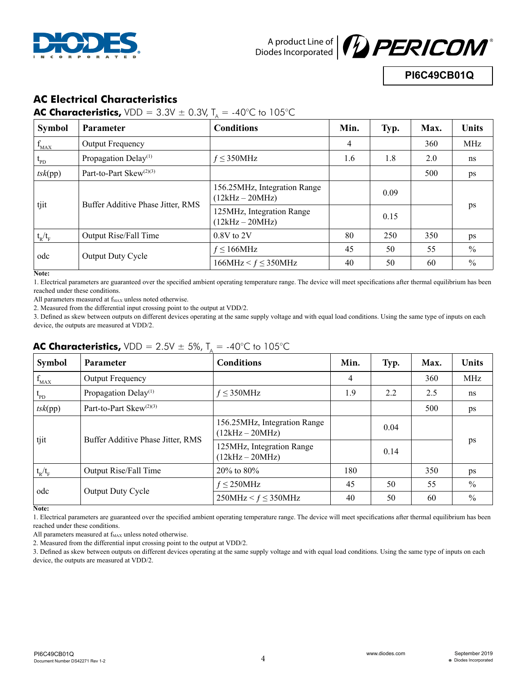



**PI6C49CB01Q**

## **AC Electrical Characteristics**

**AC Characteristics,**  $VDD = 3.3V \pm 0.3V$ ,  $T_a = -40^{\circ}C$  to 105°C

| <b>Symbol</b> | <b>Parameter</b>                    | $\sqrt{ }$<br><b>Conditions</b>                   | Min. | Typ. | Max. | <b>Units</b>  |  |
|---------------|-------------------------------------|---------------------------------------------------|------|------|------|---------------|--|
| $f_{MAX}$     | Output Frequency                    |                                                   | 4    |      | 360  | MHz           |  |
| $t_{\rm PD}$  | Propagation Delay <sup>(1)</sup>    | $f \leq 350$ MHz                                  | 1.6  | 1.8  | 2.0  | ns            |  |
| tsk(pp)       | Part-to-Part Skew <sup>(2)(3)</sup> |                                                   |      |      | 500  | ps            |  |
| tjit          | Buffer Additive Phase Jitter, RMS   | 156.25MHz, Integration Range<br>$(12kHz - 20MHz)$ |      | 0.09 |      |               |  |
|               |                                     | 125MHz, Integration Range<br>$(12kHz - 20MHz)$    |      | 0.15 |      | ps            |  |
| $t_R/t_F$     | Output Rise/Fall Time               | $0.8V$ to $2V$                                    | 80   | 250  | 350  | ps            |  |
| odc           | Output Duty Cycle                   | $f \leq 166$ MHz                                  | 45   | 50   | 55   | $\frac{0}{0}$ |  |
|               |                                     | $166MHz < f \leq 350MHz$                          | 40   | 50   | 60   | $\frac{0}{0}$ |  |

**Note:** 

1. Electrical parameters are guaranteed over the specified ambient operating temperature range. The device will meet specifications after thermal equilibrium has been reached under these conditions.

All parameters measured at  $f_{MAX}$  unless noted otherwise.

2. Measured from the differential input crossing point to the output at VDD/2.

3. Defined as skew between outputs on different devices operating at the same supply voltage and with equal load conditions. Using the same type of inputs on each device, the outputs are measured at VDD/2.

## **AC Characteristics,**  $VDD = 2.5V \pm 5\%$ ,  $T_a = -40^{\circ}C$  to 105°C

| Symbol       | <b>Parameter</b>                    | <b>Conditions</b>                                 | Min. | Typ. | Max. | <b>Units</b>  |  |
|--------------|-------------------------------------|---------------------------------------------------|------|------|------|---------------|--|
| $f_{MAX}$    | Output Frequency                    |                                                   | 4    |      | 360  | MHz           |  |
| $t_{\rm PD}$ | Propagation Delay <sup>(1)</sup>    | $f \leq 350$ MHz                                  | 1.9  | 2.2  | 2.5  | ns            |  |
| tsk(pp)      | Part-to-Part Skew <sup>(2)(3)</sup> |                                                   |      |      | 500  | ps            |  |
| tjit         | Buffer Additive Phase Jitter, RMS   | 156.25MHz, Integration Range<br>$(12kHz - 20MHz)$ |      | 0.04 |      |               |  |
|              |                                     | 125MHz, Integration Range<br>$(12kHz - 20MHz)$    |      | 0.14 |      | ps            |  |
| $t_R/t_F$    | Output Rise/Fall Time               | $20\%$ to 80%                                     | 180  |      | 350  | ps            |  |
| odc          | Output Duty Cycle                   | $f \leq 250$ MHz                                  | 45   | 50   | 55   | $\frac{0}{0}$ |  |
|              |                                     | 250MHz < $f \leq 350$ MHz                         | 40   | 50   | 60   | $\frac{0}{0}$ |  |

**Note:** 

1. Electrical parameters are guaranteed over the specified ambient operating temperature range. The device will meet specifications after thermal equilibrium has been reached under these conditions.

All parameters measured at  $f_{MAX}$  unless noted otherwise.

2. Measured from the differential input crossing point to the output at VDD/2.

3. Defined as skew between outputs on different devices operating at the same supply voltage and with equal load conditions. Using the same type of inputs on each device, the outputs are measured at VDD/2.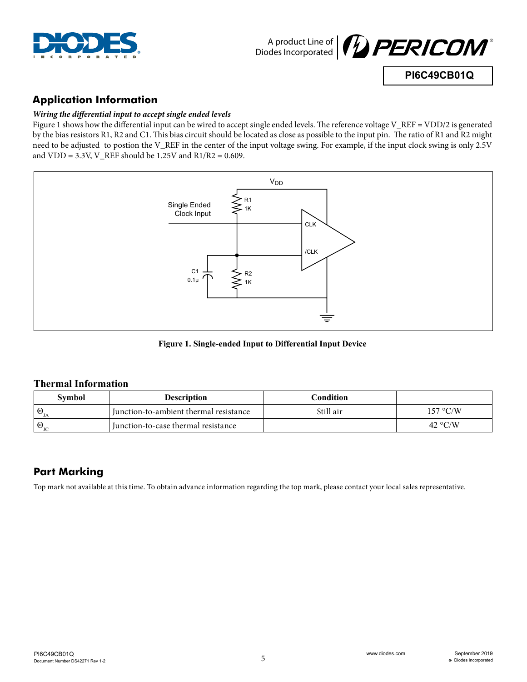



### **PI6C49CB01Q**

## **Application Information**

#### *Wiring the differential input to accept single ended levels*

Figure 1 shows how the differential input can be wired to accept single ended levels. The reference voltage V\_REF = VDD/2 is generated by the bias resistors R1, R2 and C1. This bias circuit should be located as close as possible to the input pin. The ratio of R1 and R2 might need to be adjusted to postion the V\_REF in the center of the input voltage swing. For example, if the input clock swing is only 2.5V and  $VDD = 3.3V$ , V\_REF should be 1.25V and R1/R2 = 0.609.



**Figure 1. Single-ended Input to Differential Input Device**

#### **Thermal Information**

| Symbol | <b>Description</b>                     | Condition |                  |
|--------|----------------------------------------|-----------|------------------|
| ⊌      | Iunction-to-ambient thermal resistance | Still air | 157 °C/W         |
|        | Iunction-to-case thermal resistance    |           | 42 $\degree$ C/W |

## **Part Marking**

Top mark not available at this time. To obtain advance information regarding the top mark, please contact your local sales representative.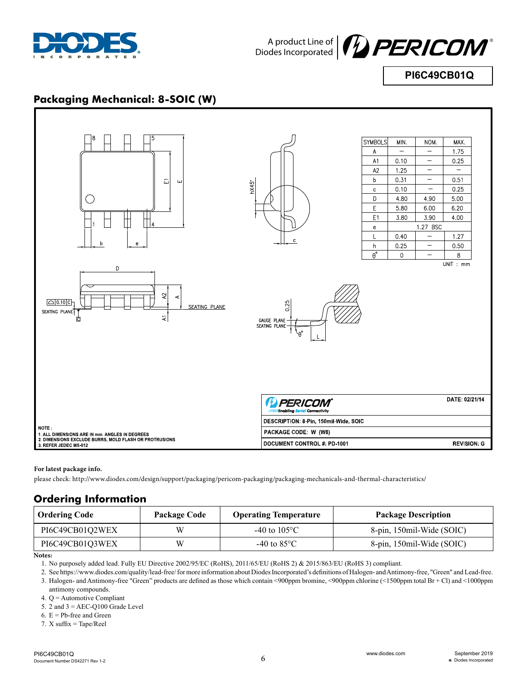



**PI6C49CB01Q**

## **Packaging Mechanical: 8-SOIC (W)**



#### **For latest package info.**

please check: http://www.diodes.com/design/support/packaging/pericom-packaging/packaging-mechanicals-and-thermal-characteristics/

### **Ordering Information**

| <b>Ordering Code</b> | <b>Package Code</b> | <b>Operating Temperature</b> | <b>Package Description</b> |
|----------------------|---------------------|------------------------------|----------------------------|
| PI6C49CB01Q2WEX      | W                   | $-40$ to $105^{\circ}$ C     | 8-pin, 150mil-Wide (SOIC)  |
| PI6C49CB01Q3WEX      | W                   | $-40$ to 85 $^{\circ}$ C     | 8-pin, 150mil-Wide (SOIC)  |

#### **Notes:**

1. No purposely added lead. Fully EU Directive 2002/95/EC (RoHS), 2011/65/EU (RoHS 2) & 2015/863/EU (RoHS 3) compliant.

2. See https://www.diodes.com/quality/lead-free/ for more information about Diodes Incorporated's definitions of Halogen- and Antimony-free, "Green" and Lead-free. 3. Halogen- and Antimony-free "Green" products are defined as those which contain <900ppm bromine, <900ppm chlorine (<1500ppm total Br + Cl) and <1000ppm antimony compounds.

4. Q = Automotive Compliant

5. 2 and  $3 = AEC-Q100$  Grade Level

6.  $E = Pb$ -free and Green

7. X suffix = Tape/Reel